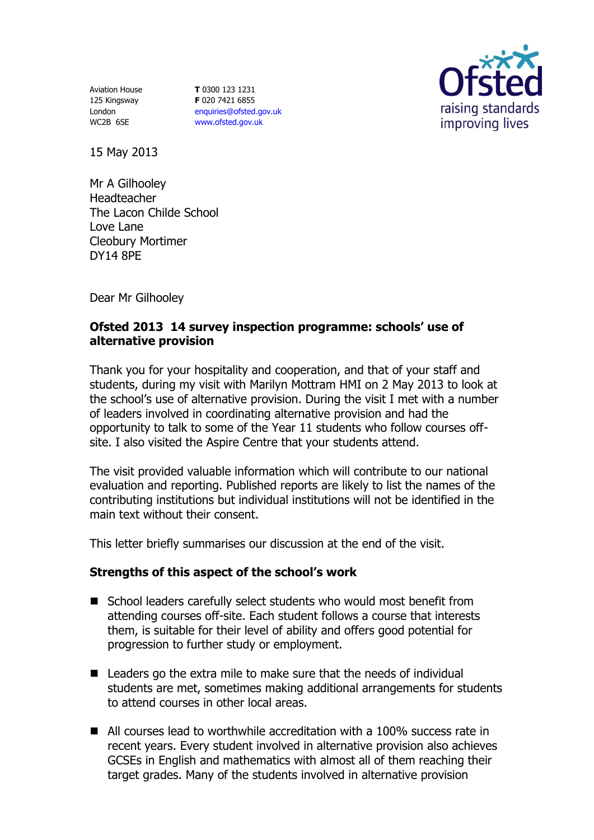Aviation House 125 Kingsway London WC2B 6SE

**T** 0300 123 1231 **F** 020 7421 6855 [enquiries@ofsted.gov.uk](mailto:enquiries@ofsted.gov.uk) [www.ofsted.gov.uk](http://www.ofsted.gov.uk/)



15 May 2013

Mr A Gilhooley Headteacher The Lacon Childe School Love Lane Cleobury Mortimer DY14 8PE

Dear Mr Gilhooley

## **Ofsted 2013 14 survey inspection programme: schools' use of alternative provision**

Thank you for your hospitality and cooperation, and that of your staff and students, during my visit with Marilyn Mottram HMI on 2 May 2013 to look at the school's use of alternative provision. During the visit I met with a number of leaders involved in coordinating alternative provision and had the opportunity to talk to some of the Year 11 students who follow courses offsite. I also visited the Aspire Centre that your students attend.

The visit provided valuable information which will contribute to our national evaluation and reporting. Published reports are likely to list the names of the contributing institutions but individual institutions will not be identified in the main text without their consent.

This letter briefly summarises our discussion at the end of the visit.

## **Strengths of this aspect of the school's work**

- School leaders carefully select students who would most benefit from attending courses off-site. Each student follows a course that interests them, is suitable for their level of ability and offers good potential for progression to further study or employment.
- Leaders go the extra mile to make sure that the needs of individual students are met, sometimes making additional arrangements for students to attend courses in other local areas.
- All courses lead to worthwhile accreditation with a 100% success rate in recent years. Every student involved in alternative provision also achieves GCSEs in English and mathematics with almost all of them reaching their target grades. Many of the students involved in alternative provision